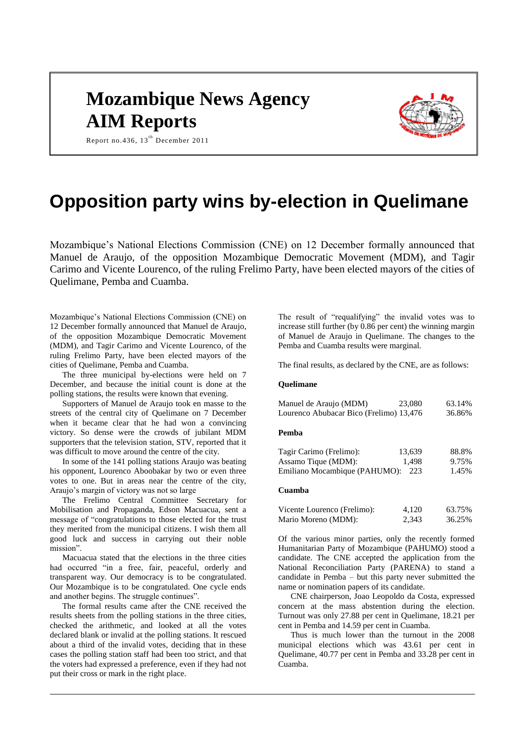# **Mozambique News Agency AIM Reports**



Report no.436,  $13^{th}$  December 2011

# **Opposition party wins by-election in Quelimane**

Mozambique's National Elections Commission (CNE) on 12 December formally announced that Manuel de Araujo, of the opposition Mozambique Democratic Movement (MDM), and Tagir Carimo and Vicente Lourenco, of the ruling Frelimo Party, have been elected mayors of the cities of Quelimane, Pemba and Cuamba.

Mozambique's National Elections Commission (CNE) on 12 December formally announced that Manuel de Araujo, of the opposition Mozambique Democratic Movement (MDM), and Tagir Carimo and Vicente Lourenco, of the ruling Frelimo Party, have been elected mayors of the cities of Quelimane, Pemba and Cuamba.

The three municipal by-elections were held on 7 December, and because the initial count is done at the polling stations, the results were known that evening.

Supporters of Manuel de Araujo took en masse to the streets of the central city of Quelimane on 7 December when it became clear that he had won a convincing victory. So dense were the crowds of jubilant MDM supporters that the television station, STV, reported that it was difficult to move around the centre of the city.

In some of the 141 polling stations Araujo was beating his opponent, Lourenco Aboobakar by two or even three votes to one. But in areas near the centre of the city, Araujo's margin of victory was not so large

The Frelimo Central Committee Secretary for Mobilisation and Propaganda, Edson Macuacua, sent a message of "congratulations to those elected for the trust they merited from the municipal citizens. I wish them all good luck and success in carrying out their noble mission".

Macuacua stated that the elections in the three cities had occurred "in a free, fair, peaceful, orderly and transparent way. Our democracy is to be congratulated. Our Mozambique is to be congratulated. One cycle ends and another begins. The struggle continues".

The formal results came after the CNE received the results sheets from the polling stations in the three cities, checked the arithmetic, and looked at all the votes declared blank or invalid at the polling stations. It rescued about a third of the invalid votes, deciding that in these cases the polling station staff had been too strict, and that the voters had expressed a preference, even if they had not put their cross or mark in the right place.

The result of "requalifying" the invalid votes was to increase still further (by 0.86 per cent) the winning margin of Manuel de Araujo in Quelimane. The changes to the Pemba and Cuamba results were marginal.

The final results, as declared by the CNE, are as follows:

### **Quelimane**

| Manuel de Araujo (MDM)                                                                                                                                                                                                   | 23,080 | 63.14% |
|--------------------------------------------------------------------------------------------------------------------------------------------------------------------------------------------------------------------------|--------|--------|
| Lourenco Abubacar Bico (Frelimo) 13,476                                                                                                                                                                                  |        | 36.86% |
| Pemba                                                                                                                                                                                                                    |        |        |
| Tagir Carimo (Frelimo):                                                                                                                                                                                                  | 13,639 | 88.8%  |
| Assamo Tique (MDM):                                                                                                                                                                                                      | 1,498  | 9.75%  |
| Emiliano Mocambique (PAHUMO):                                                                                                                                                                                            | 223    | 1.45%  |
| Cuamba                                                                                                                                                                                                                   |        |        |
| Vicente Lourenco (Frelimo):                                                                                                                                                                                              | 4,120  | 63.75% |
| Mario Moreno (MDM):                                                                                                                                                                                                      | 2,343  | 36.25% |
| Of the various minor parties, only the recently formed<br>Humanitarian Party of Mozambique (PAHUMO) stood a<br>candidate. The CNE accepted the application from the<br>National Reconciliation Party (PARENA) to stand a |        |        |

name or nomination papers of its candidate. CNE chairperson, Joao Leopoldo da Costa, expressed concern at the mass abstention during the election. Turnout was only 27.88 per cent in Quelimane, 18.21 per cent in Pemba and 14.59 per cent in Cuamba.

candidate in Pemba – but this party never submitted the

Thus is much lower than the turnout in the 2008 municipal elections which was 43.61 per cent in Quelimane, 40.77 per cent in Pemba and 33.28 per cent in Cuamba.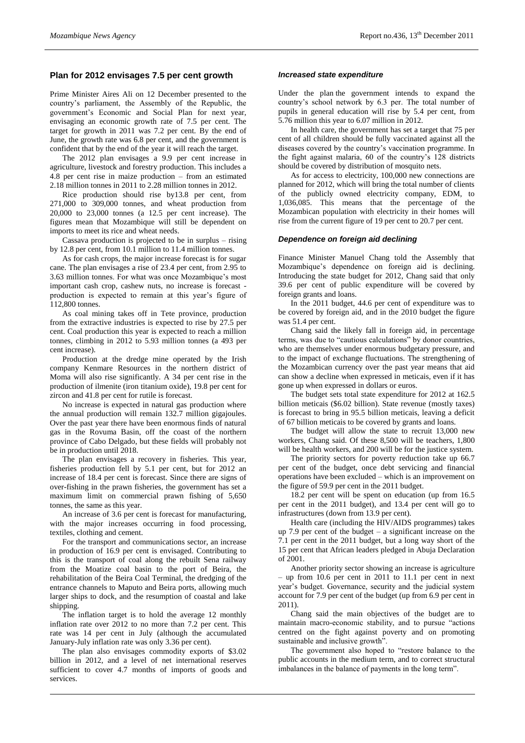# **Plan for 2012 envisages 7.5 per cent growth**

Prime Minister Aires Ali on 12 December presented to the country's parliament, the Assembly of the Republic, the government's Economic and Social Plan for next year, envisaging an economic growth rate of 7.5 per cent. The target for growth in 2011 was 7.2 per cent. By the end of June, the growth rate was 6.8 per cent, and the government is confident that by the end of the year it will reach the target.

The 2012 plan envisages a 9.9 per cent increase in agriculture, livestock and forestry production. This includes a 4.8 per cent rise in maize production – from an estimated 2.18 million tonnes in 2011 to 2.28 million tonnes in 2012.

Rice production should rise by13.8 per cent, from 271,000 to 309,000 tonnes, and wheat production from 20,000 to 23,000 tonnes (a 12.5 per cent increase). The figures mean that Mozambique will still be dependent on imports to meet its rice and wheat needs.

Cassava production is projected to be in surplus – rising by 12.8 per cent, from 10.1 million to 11.4 million tonnes.

As for cash crops, the major increase forecast is for sugar cane. The plan envisages a rise of 23.4 per cent, from 2.95 to 3.63 million tonnes. For what was once Mozambique's most important cash crop, cashew nuts, no increase is forecast production is expected to remain at this year's figure of 112,800 tonnes.

As coal mining takes off in Tete province, production from the extractive industries is expected to rise by 27.5 per cent. Coal production this year is expected to reach a million tonnes, climbing in 2012 to 5.93 million tonnes (a 493 per cent increase).

Production at the dredge mine operated by the Irish company Kenmare Resources in the northern district of Moma will also rise significantly. A 34 per cent rise in the production of ilmenite (iron titanium oxide), 19.8 per cent for zircon and 41.8 per cent for rutile is forecast.

No increase is expected in natural gas production where the annual production will remain 132.7 million gigajoules. Over the past year there have been enormous finds of natural gas in the Rovuma Basin, off the coast of the northern province of Cabo Delgado, but these fields will probably not be in production until 2018.

The plan envisages a recovery in fisheries. This year, fisheries production fell by 5.1 per cent, but for 2012 an increase of 18.4 per cent is forecast. Since there are signs of over-fishing in the prawn fisheries, the government has set a maximum limit on commercial prawn fishing of 5,650 tonnes, the same as this year.

An increase of 3.6 per cent is forecast for manufacturing, with the major increases occurring in food processing, textiles, clothing and cement.

For the transport and communications sector, an increase in production of 16.9 per cent is envisaged. Contributing to this is the transport of coal along the rebuilt Sena railway from the Moatize coal basin to the port of Beira, the rehabilitation of the Beira Coal Terminal, the dredging of the entrance channels to Maputo and Beira ports, allowing much larger ships to dock, and the resumption of coastal and lake shipping.

The inflation target is to hold the average 12 monthly inflation rate over 2012 to no more than 7.2 per cent. This rate was 14 per cent in July (although the accumulated January-July inflation rate was only 3.36 per cent).

The plan also envisages commodity exports of \$3.02 billion in 2012, and a level of net international reserves sufficient to cover 4.7 months of imports of goods and services.

#### *Increased state expenditure*

Under the plan the government intends to expand the country's school network by 6.3 per. The total number of pupils in general education will rise by 5.4 per cent, from 5.76 million this year to 6.07 million in 2012.

In health care, the government has set a target that 75 per cent of all children should be fully vaccinated against all the diseases covered by the country's vaccination programme. In the fight against malaria, 60 of the country's 128 districts should be covered by distribution of mosquito nets.

As for access to electricity, 100,000 new connections are planned for 2012, which will bring the total number of clients of the publicly owned electricity company, EDM, to 1,036,085. This means that the percentage of the Mozambican population with electricity in their homes will rise from the current figure of 19 per cent to 20.7 per cent.

#### *Dependence on foreign aid declining*

Finance Minister Manuel Chang told the Assembly that Mozambique's dependence on foreign aid is declining. Introducing the state budget for 2012, Chang said that only 39.6 per cent of public expenditure will be covered by foreign grants and loans.

In the 2011 budget, 44.6 per cent of expenditure was to be covered by foreign aid, and in the 2010 budget the figure was 51.4 per cent.

Chang said the likely fall in foreign aid, in percentage terms, was due to "cautious calculations" by donor countries, who are themselves under enormous budgetary pressure, and to the impact of exchange fluctuations. The strengthening of the Mozambican currency over the past year means that aid can show a decline when expressed in meticais, even if it has gone up when expressed in dollars or euros.

The budget sets total state expenditure for 2012 at 162.5 billion meticais (\$6.02 billion). State revenue (mostly taxes) is forecast to bring in 95.5 billion meticais, leaving a deficit of 67 billion meticais to be covered by grants and loans.

The budget will allow the state to recruit 13,000 new workers, Chang said. Of these 8,500 will be teachers, 1,800 will be health workers, and 200 will be for the justice system.

The priority sectors for poverty reduction take up 66.7 per cent of the budget, once debt servicing and financial operations have been excluded – which is an improvement on the figure of 59.9 per cent in the 2011 budget.

18.2 per cent will be spent on education (up from 16.5 per cent in the 2011 budget), and 13.4 per cent will go to infrastructures (down from 13.9 per cent).

Health care (including the HIV/AIDS programmes) takes up 7.9 per cent of the budget  $-$  a significant increase on the 7.1 per cent in the 2011 budget, but a long way short of the 15 per cent that African leaders pledged in Abuja Declaration of 2001.

Another priority sector showing an increase is agriculture – up from 10.6 per cent in 2011 to 11.1 per cent in next year's budget. Governance, security and the judicial system account for 7.9 per cent of the budget (up from 6.9 per cent in 2011).

Chang said the main objectives of the budget are to maintain macro-economic stability, and to pursue "actions centred on the fight against poverty and on promoting sustainable and inclusive growth".

The government also hoped to "restore balance to the public accounts in the medium term, and to correct structural imbalances in the balance of payments in the long term".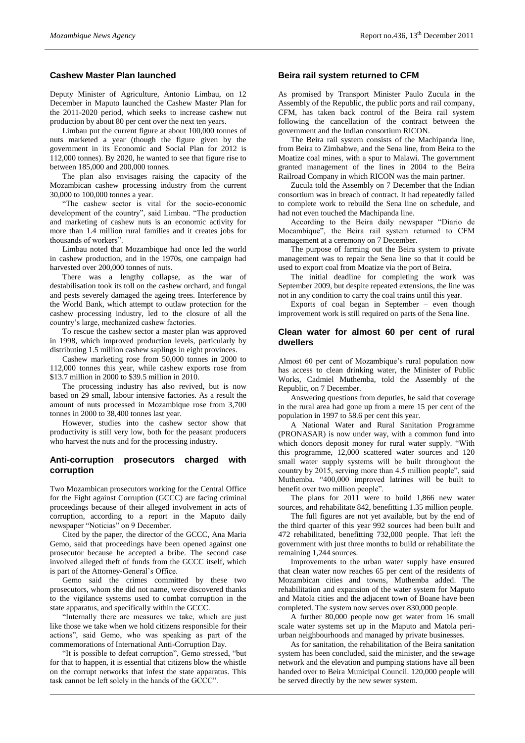## **Cashew Master Plan launched**

Deputy Minister of Agriculture, Antonio Limbau, on 12 December in Maputo launched the Cashew Master Plan for the 2011-2020 period, which seeks to increase cashew nut production by about 80 per cent over the next ten years.

Limbau put the current figure at about 100,000 tonnes of nuts marketed a year (though the figure given by the government in its Economic and Social Plan for 2012 is 112,000 tonnes). By 2020, he wanted to see that figure rise to between 185,000 and 200,000 tonnes.

The plan also envisages raising the capacity of the Mozambican cashew processing industry from the current 30,000 to 100,000 tonnes a year.

"The cashew sector is vital for the socio-economic development of the country", said Limbau. "The production and marketing of cashew nuts is an economic activity for more than 1.4 million rural families and it creates jobs for thousands of workers".

Limbau noted that Mozambique had once led the world in cashew production, and in the 1970s, one campaign had harvested over 200,000 tonnes of nuts.

There was a lengthy collapse, as the war of destabilisation took its toll on the cashew orchard, and fungal and pests severely damaged the ageing trees. Interference by the World Bank, which attempt to outlaw protection for the cashew processing industry, led to the closure of all the country's large, mechanized cashew factories.

To rescue the cashew sector a master plan was approved in 1998, which improved production levels, particularly by distributing 1.5 million cashew saplings in eight provinces.

Cashew marketing rose from 50,000 tonnes in 2000 to 112,000 tonnes this year, while cashew exports rose from \$13.7 million in 2000 to \$39.5 million in 2010.

The processing industry has also revived, but is now based on 29 small, labour intensive factories. As a result the amount of nuts processed in Mozambique rose from 3,700 tonnes in 2000 to 38,400 tonnes last year.

However, studies into the cashew sector show that productivity is still very low, both for the peasant producers who harvest the nuts and for the processing industry.

#### **Anti-corruption prosecutors charged with corruption**

Two Mozambican prosecutors working for the Central Office for the Fight against Corruption (GCCC) are facing criminal proceedings because of their alleged involvement in acts of corruption, according to a report in the Maputo daily newspaper "Noticias" on 9 December.

Cited by the paper, the director of the GCCC, Ana Maria Gemo, said that proceedings have been opened against one prosecutor because he accepted a bribe. The second case involved alleged theft of funds from the GCCC itself, which is part of the Attorney-General's Office.

Gemo said the crimes committed by these two prosecutors, whom she did not name, were discovered thanks to the vigilance systems used to combat corruption in the state apparatus, and specifically within the GCCC.

"Internally there are measures we take, which are just like those we take when we hold citizens responsible for their actions", said Gemo, who was speaking as part of the commemorations of International Anti-Corruption Day.

"It is possible to defeat corruption", Gemo stressed, "but for that to happen, it is essential that citizens blow the whistle on the corrupt networks that infest the state apparatus. This task cannot be left solely in the hands of the GCCC".

### **Beira rail system returned to CFM**

As promised by Transport Minister Paulo Zucula in the Assembly of the Republic, the public ports and rail company, CFM, has taken back control of the Beira rail system following the cancellation of the contract between the government and the Indian consortium RICON.

The Beira rail system consists of the Machipanda line, from Beira to Zimbabwe, and the Sena line, from Beira to the Moatize coal mines, with a spur to Malawi. The government granted management of the lines in 2004 to the Beira Railroad Company in which RICON was the main partner.

Zucula told the Assembly on 7 December that the Indian consortium was in breach of contract. It had repeatedly failed to complete work to rebuild the Sena line on schedule, and had not even touched the Machipanda line.

According to the Beira daily newspaper "Diario de Mocambique", the Beira rail system returned to CFM management at a ceremony on 7 December.

The purpose of farming out the Beira system to private management was to repair the Sena line so that it could be used to export coal from Moatize via the port of Beira.

The initial deadline for completing the work was September 2009, but despite repeated extensions, the line was not in any condition to carry the coal trains until this year.

Exports of coal began in September – even though improvement work is still required on parts of the Sena line.

#### **Clean water for almost 60 per cent of rural dwellers**

Almost 60 per cent of Mozambique's rural population now has access to clean drinking water, the Minister of Public Works, Cadmiel Muthemba, told the Assembly of the Republic, on 7 December.

Answering questions from deputies, he said that coverage in the rural area had gone up from a mere 15 per cent of the population in 1997 to 58.6 per cent this year.

A National Water and Rural Sanitation Programme (PRONASAR) is now under way, with a common fund into which donors deposit money for rural water supply. "With this programme, 12,000 scattered water sources and 120 small water supply systems will be built throughout the country by 2015, serving more than 4.5 million people", said Muthemba. "400,000 improved latrines will be built to benefit over two million people".

The plans for 2011 were to build 1,866 new water sources, and rehabilitate 842, benefitting 1.35 million people.

The full figures are not yet available, but by the end of the third quarter of this year 992 sources had been built and 472 rehabilitated, benefitting 732,000 people. That left the government with just three months to build or rehabilitate the remaining 1,244 sources.

Improvements to the urban water supply have ensured that clean water now reaches 65 per cent of the residents of Mozambican cities and towns, Muthemba added. The rehabilitation and expansion of the water system for Maputo and Matola cities and the adjacent town of Boane have been completed. The system now serves over 830,000 people.

A further 80,000 people now get water from 16 small scale water systems set up in the Maputo and Matola periurban neighbourhoods and managed by private businesses.

As for sanitation, the rehabilitation of the Beira sanitation system has been concluded, said the minister, and the sewage network and the elevation and pumping stations have all been handed over to Beira Municipal Council. 120,000 people will be served directly by the new sewer system.